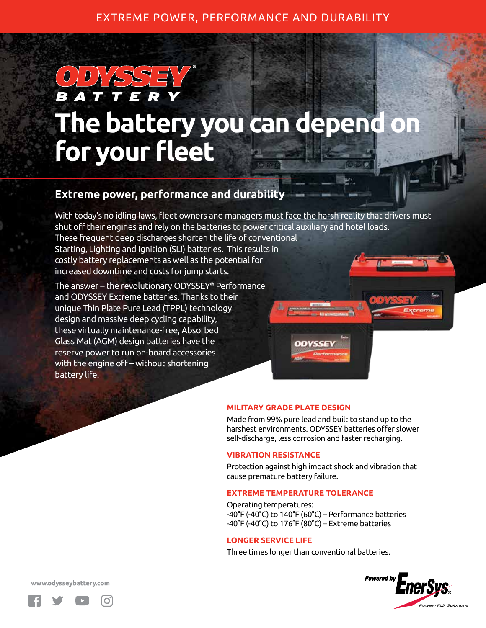## EXTREME POWER, PERFORMANCE AND DURABILITY

# BAT 77 **The battery you can depend on for your fleet**

# **Extreme power, performance and durability**

With today's no idling laws, fleet owners and managers must face the harsh reality that drivers must shut off their engines and rely on the batteries to power critical auxiliary and hotel loads. These frequent deep discharges shorten the life of conventional Starting, Lighting and Ignition (SLI) batteries. This results in costly battery replacements as well as the potential for increased downtime and costs for jump starts.

The answer – the revolutionary ODYSSEY® Performance and ODYSSEY Extreme batteries. Thanks to their unique Thin Plate Pure Lead (TPPL) technology design and massive deep cycling capability, these virtually maintenance-free, Absorbed Glass Mat (AGM) design batteries have the reserve power to run on-board accessories with the engine off – without shortening battery life.

### **MILITARY GRADE PLATE DESIGN**

Made from 99% pure lead and built to stand up to the harshest environments. ODYSSEY batteries offer slower self-discharge, less corrosion and faster recharging.

### **VIBRATION RESISTANCE**

Protection against high impact shock and vibration that cause premature battery failure.

#### **EXTREME TEMPERATURE TOLERANCE**

Operating temperatures: -40°F (-40°C) to 140°F (60°C) – Performance batteries -40°F (-40°C) to 176°F (80°C) – Extreme batteries

### **LONGER SERVICE LIFE**

Three times longer than conventional batteries.



www.odysseybattery.com